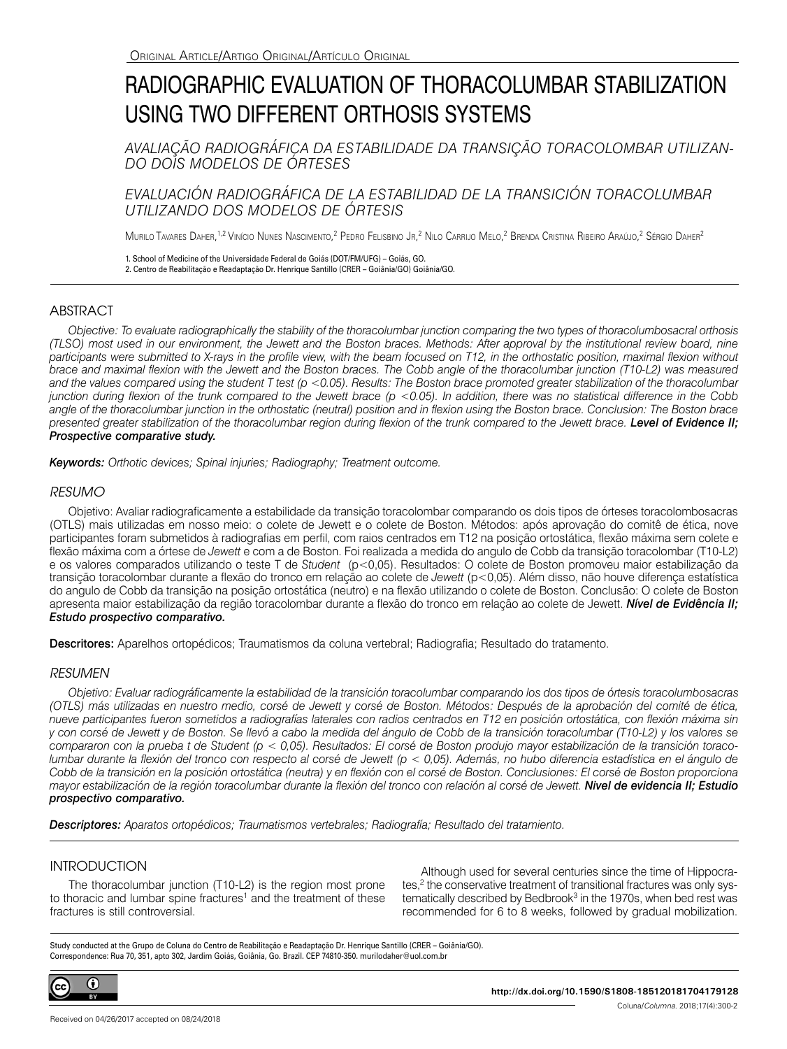# RADIOGRAPHIC EVALUATION OF THORACOLUMBAR STABILIZATION USING TWO DIFFERENT ORTHOSIS SYSTEMS

*AVALIAÇÃO RADIOGRÁFICA DA ESTABILIDADE DA TRANSIÇÃO TORACOLOMBAR UTILIZAN-DO DOIS MODELOS DE ÓRTESES* 

# *EVALUACIÓN RADIOGRÁFICA DE LA ESTABILIDAD DE LA TRANSICIÓN TORACOLUMBAR UTILIZANDO DOS MODELOS DE ÓRTESIS*

Murilo Tavares Daher,<sup>1,2</sup> Vinício Nunes Nascimento,<sup>2</sup> Pedro Felisbino Jr,<sup>2</sup> Nilo Carrijo Melo,<sup>2</sup> Brenda Cristina Ribeiro Araújo,<sup>2</sup> Sérgio Daher<sup>2</sup>

1. School of Medicine of the Universidade Federal de Goiás (DOT/FM/UFG) – Goiás, GO. 2. Centro de Reabilitação e Readaptação Dr. Henrique Santillo (CRER – Goiânia/GO) Goiânia/GO.

# **ABSTRACT**

*Objective: To evaluate radiographically the stability of the thoracolumbar junction comparing the two types of thoracolumbosacral orthosis (TLSO) most used in our environment, the Jewett and the Boston braces. Methods: After approval by the institutional review board, nine participants were submitted to X-rays in the profile view, with the beam focused on T12, in the orthostatic position, maximal flexion without brace and maximal flexion with the Jewett and the Boston braces. The Cobb angle of the thoracolumbar junction (T10-L2) was measured and the values compared using the student T test (p <0.05). Results: The Boston brace promoted greater stabilization of the thoracolumbar junction during flexion of the trunk compared to the Jewett brace (p <0.05). In addition, there was no statistical difference in the Cobb angle of the thoracolumbar junction in the orthostatic (neutral) position and in flexion using the Boston brace. Conclusion: The Boston brace presented greater stabilization of the thoracolumbar region during flexion of the trunk compared to the Jewett brace. Level of Evidence II; Prospective comparative study.*

*Keywords: Orthotic devices; Spinal injuries; Radiography; Treatment outcome.*

## *RESUMO*

Objetivo: Avaliar radiograficamente a estabilidade da transição toracolombar comparando os dois tipos de órteses toracolombosacras (OTLS) mais utilizadas em nosso meio: o colete de Jewett e o colete de Boston. Métodos: após aprovação do comitê de ética, nove participantes foram submetidos à radiografias em perfil, com raios centrados em T12 na posição ortostática, flexão máxima sem colete e flexão máxima com a órtese de *Jewett* e com a de Boston. Foi realizada a medida do angulo de Cobb da transição toracolombar (T10-L2) e os valores comparados utilizando o teste T de *Student* (p<0,05). Resultados: O colete de Boston promoveu maior estabilização da transição toracolombar durante a flexão do tronco em relação ao colete de *Jewett* (p<0,05). Além disso, não houve diferença estatística do angulo de Cobb da transição na posição ortostática (neutro) e na flexão utilizando o colete de Boston. Conclusão: O colete de Boston apresenta maior estabilização da região toracolombar durante a flexão do tronco em relação ao colete de Jewett. *Nível de Evidência II; Estudo prospectivo comparativo.*

Descritores: Aparelhos ortopédicos: Traumatismos da coluna vertebral: Radiografia: Resultado do tratamento.

## *RESUMEN*

*Objetivo: Evaluar radiográficamente la estabilidad de la transición toracolumbar comparando los dos tipos de órtesis toracolumbosacras (OTLS) más utilizadas en nuestro medio, corsé de Jewett y corsé de Boston. Métodos: Después de la aprobación del comité de ética, nueve participantes fueron sometidos a radiografías laterales con radios centrados en T12 en posición ortostática, con flexión máxima sin y con corsé de Jewett y de Boston. Se llevó a cabo la medida del ángulo de Cobb de la transición toracolumbar (T10-L2) y los valores se compararon con la prueba t de Student (p < 0,05). Resultados: El corsé de Boston produjo mayor estabilización de la transición toracolumbar durante la flexión del tronco con respecto al corsé de Jewett (p < 0,05). Además, no hubo diferencia estadística en el ángulo de Cobb de la transición en la posición ortostática (neutra) y en flexión con el corsé de Boston. Conclusiones: El corsé de Boston proporciona mayor estabilización de la región toracolumbar durante la flexión del tronco con relación al corsé de Jewett. Nivel de evidencia II; Estudio prospectivo comparativo.*

*Descriptores: Aparatos ortopédicos; Traumatismos vertebrales; Radiografía; Resultado del tratamiento.*

# **INTRODUCTION**

The thoracolumbar junction (T10-L2) is the region most prone to thoracic and lumbar spine fractures<sup>1</sup> and the treatment of these fractures is still controversial.

Although used for several centuries since the time of Hippocrates,<sup>2</sup> the conservative treatment of transitional fractures was only systematically described by Bedbrook<sup>3</sup> in the 1970s, when bed rest was recommended for 6 to 8 weeks, followed by gradual mobilization.

Study conducted at the Grupo de Coluna do Centro de Reabilitação e Readaptação Dr. Henrique Santillo (CRER – Goiânia/GO). Correspondence: Rua 70, 351, apto 302, Jardim Goiás, Goiânia, Go. Brazil. CEP 74810-350. murilodaher@uol.com.br

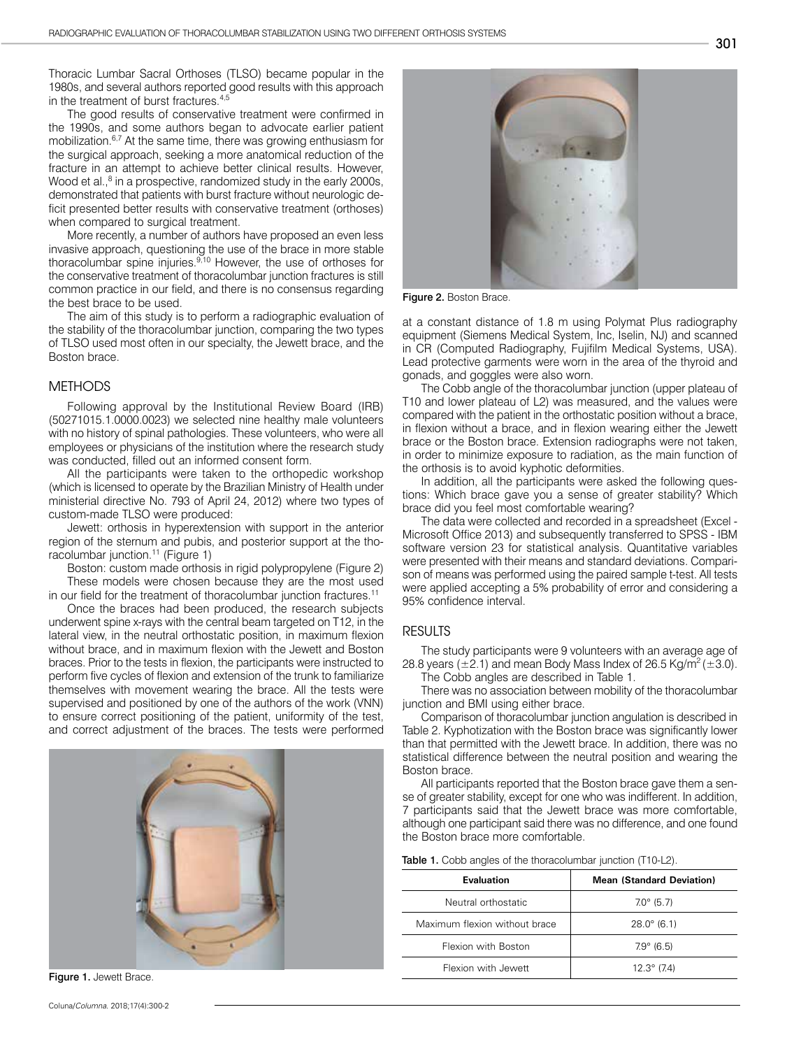Thoracic Lumbar Sacral Orthoses (TLSO) became popular in the 1980s, and several authors reported good results with this approach in the treatment of burst fractures.4,5

The good results of conservative treatment were confirmed in the 1990s, and some authors began to advocate earlier patient mobilization.6,7 At the same time, there was growing enthusiasm for the surgical approach, seeking a more anatomical reduction of the fracture in an attempt to achieve better clinical results. However, Wood et al.,<sup>8</sup> in a prospective, randomized study in the early 2000s, demonstrated that patients with burst fracture without neurologic deficit presented better results with conservative treatment (orthoses) when compared to surgical treatment.

More recently, a number of authors have proposed an even less invasive approach, questioning the use of the brace in more stable thoracolumbar spine injuries. $9,10$  However, the use of orthoses for the conservative treatment of thoracolumbar junction fractures is still common practice in our field, and there is no consensus regarding the best brace to be used.

The aim of this study is to perform a radiographic evaluation of the stability of the thoracolumbar junction, comparing the two types of TLSO used most often in our specialty, the Jewett brace, and the Boston brace.

#### METHODS

Following approval by the Institutional Review Board (IRB) (50271015.1.0000.0023) we selected nine healthy male volunteers with no history of spinal pathologies. These volunteers, who were all employees or physicians of the institution where the research study was conducted, filled out an informed consent form.

All the participants were taken to the orthopedic workshop (which is licensed to operate by the Brazilian Ministry of Health under ministerial directive No. 793 of April 24, 2012) where two types of custom-made TLSO were produced:

Jewett: orthosis in hyperextension with support in the anterior region of the sternum and pubis, and posterior support at the thoracolumbar junction.<sup>11</sup> (Figure 1)

Boston: custom made orthosis in rigid polypropylene (Figure 2) These models were chosen because they are the most used in our field for the treatment of thoracolumbar junction fractures.<sup>11</sup>

Once the braces had been produced, the research subjects underwent spine x-rays with the central beam targeted on T12, in the lateral view, in the neutral orthostatic position, in maximum flexion without brace, and in maximum flexion with the Jewett and Boston braces. Prior to the tests in flexion, the participants were instructed to perform five cycles of flexion and extension of the trunk to familiarize themselves with movement wearing the brace. All the tests were supervised and positioned by one of the authors of the work (VNN) to ensure correct positioning of the patient, uniformity of the test, and correct adjustment of the braces. The tests were performed



Figure 1. Jewett Brace



Figure 2. Boston Brace.

at a constant distance of 1.8 m using Polymat Plus radiography equipment (Siemens Medical System, Inc, Iselin, NJ) and scanned in CR (Computed Radiography, Fujifilm Medical Systems, USA). Lead protective garments were worn in the area of the thyroid and gonads, and goggles were also worn.

The Cobb angle of the thoracolumbar junction (upper plateau of T10 and lower plateau of L2) was measured, and the values were compared with the patient in the orthostatic position without a brace, in flexion without a brace, and in flexion wearing either the Jewett brace or the Boston brace. Extension radiographs were not taken, in order to minimize exposure to radiation, as the main function of the orthosis is to avoid kyphotic deformities.

In addition, all the participants were asked the following questions: Which brace gave you a sense of greater stability? Which brace did you feel most comfortable wearing?

The data were collected and recorded in a spreadsheet (Excel - Microsoft Office 2013) and subsequently transferred to SPSS - IBM software version 23 for statistical analysis. Quantitative variables were presented with their means and standard deviations. Comparison of means was performed using the paired sample t-test. All tests were applied accepting a 5% probability of error and considering a 95% confidence interval.

### RESULTS

The study participants were 9 volunteers with an average age of 28.8 years ( $\pm$ 2.1) and mean Body Mass Index of 26.5 Kg/m<sup>2</sup> ( $\pm$ 3.0).

The Cobb angles are described in Table 1.

There was no association between mobility of the thoracolumbar junction and BMI using either brace.

Comparison of thoracolumbar junction angulation is described in Table 2. Kyphotization with the Boston brace was significantly lower than that permitted with the Jewett brace. In addition, there was no statistical difference between the neutral position and wearing the Boston brace.

All participants reported that the Boston brace gave them a sense of greater stability, except for one who was indifferent. In addition, 7 participants said that the Jewett brace was more comfortable, although one participant said there was no difference, and one found the Boston brace more comfortable.

| <b>Table 1.</b> Cobb angles of the thoracolumbar junction (T10-L2). |  |  |
|---------------------------------------------------------------------|--|--|
|---------------------------------------------------------------------|--|--|

| Evaluation                    | <b>Mean (Standard Deviation)</b> |  |
|-------------------------------|----------------------------------|--|
| Neutral orthostatic           | $7.0^{\circ}$ (5.7)              |  |
| Maximum flexion without brace | $28.0^{\circ}$ (6.1)             |  |
| Flexion with Boston           | $7.9^{\circ}$ (6.5)              |  |
| Flexion with Jewett           | $12.3^{\circ}$ (7.4)             |  |